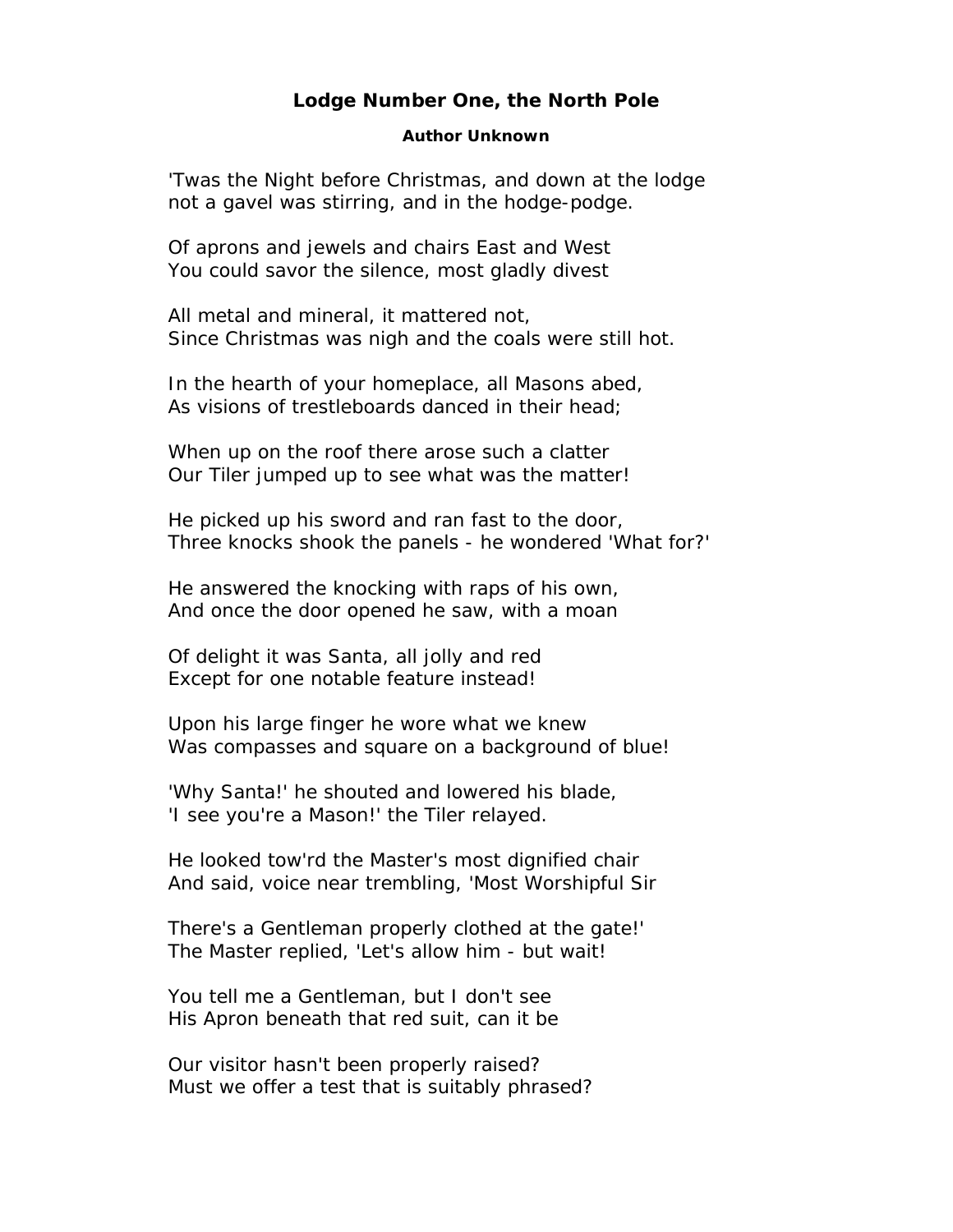## **Lodge Number One, the North Pole**

## **Author Unknown**

'Twas the Night before Christmas, and down at the lodge not a gavel was stirring, and in the hodge-podge.

Of aprons and jewels and chairs East and West You could savor the silence, most gladly divest

All metal and mineral, it mattered not, Since Christmas was nigh and the coals were still hot.

In the hearth of your homeplace, all Masons abed, As visions of trestleboards danced in their head;

When up on the roof there arose such a clatter Our Tiler jumped up to see what was the matter!

He picked up his sword and ran fast to the door, Three knocks shook the panels - he wondered 'What for?'

He answered the knocking with raps of his own, And once the door opened he saw, with a moan

Of delight it was Santa, all jolly and red Except for one notable feature instead!

Upon his large finger he wore what we knew Was compasses and square on a background of blue!

'Why Santa!' he shouted and lowered his blade, 'I see you're a Mason!' the Tiler relayed.

He looked tow'rd the Master's most dignified chair And said, voice near trembling, 'Most Worshipful Sir

There's a Gentleman properly clothed at the gate!' The Master replied, 'Let's allow him - but wait!

You tell me a Gentleman, but I don't see His Apron beneath that red suit, can it be

Our visitor hasn't been properly raised? Must we offer a test that is suitably phrased?